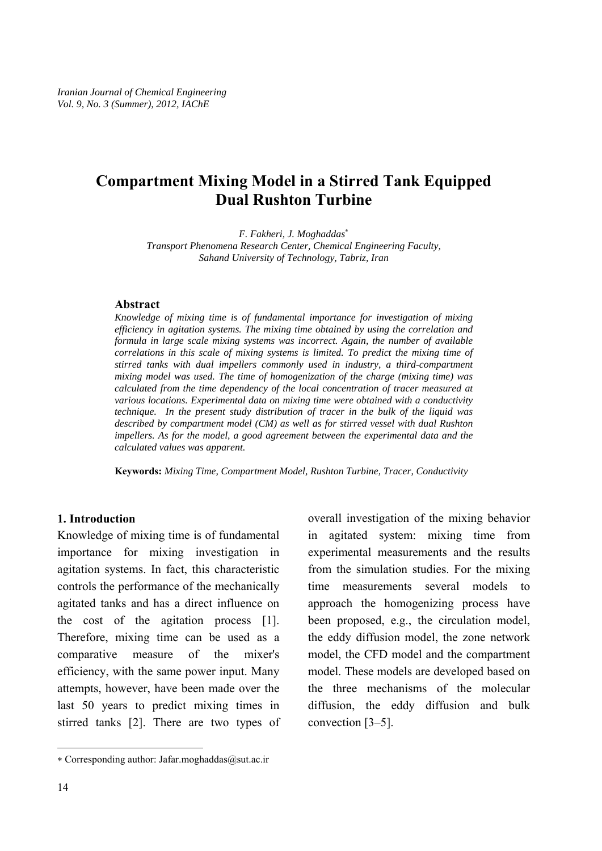# **Compartment Mixing Model in a Stirred Tank Equipped Dual Rushton Turbine**

*F. Fakheri, J. Moghaddas*<sup>∗</sup> *Transport Phenomena Research Center, Chemical Engineering Faculty, Sahand University of Technology, Tabriz, Iran* 

#### **Abstract**

*Knowledge of mixing time is of fundamental importance for investigation of mixing efficiency in agitation systems. The mixing time obtained by using the correlation and formula in large scale mixing systems was incorrect. Again, the number of available correlations in this scale of mixing systems is limited. To predict the mixing time of stirred tanks with dual impellers commonly used in industry, a third-compartment mixing model was used. The time of homogenization of the charge (mixing time) was calculated from the time dependency of the local concentration of tracer measured at various locations. Experimental data on mixing time were obtained with a conductivity technique. In the present study distribution of tracer in the bulk of the liquid was described by compartment model (CM) as well as for stirred vessel with dual Rushton impellers. As for the model, a good agreement between the experimental data and the calculated values was apparent.* 

**Keywords:** *Mixing Time, Compartment Model, Rushton Turbine, Tracer, Conductivity* 

### **1. Introduction**

Knowledge of mixing time is of fundamental importance for mixing investigation in agitation systems. In fact, this characteristic controls the performance of the mechanically agitated tanks and has a direct influence on the cost of the agitation process [1]. Therefore, mixing time can be used as a comparative measure of the mixer's efficiency, with the same power input. Many attempts, however, have been made over the last 50 years to predict mixing times in stirred tanks [2]. There are two types of overall investigation of the mixing behavior in agitated system: mixing time from experimental measurements and the results from the simulation studies. For the mixing time measurements several models to approach the homogenizing process have been proposed, e.g., the circulation model, the eddy diffusion model, the zone network model, the CFD model and the compartment model. These models are developed based on the three mechanisms of the molecular diffusion, the eddy diffusion and bulk convection [3–5].

 $\overline{\phantom{a}}$ 

<sup>∗</sup> Corresponding author: Jafar.moghaddas@sut.ac.ir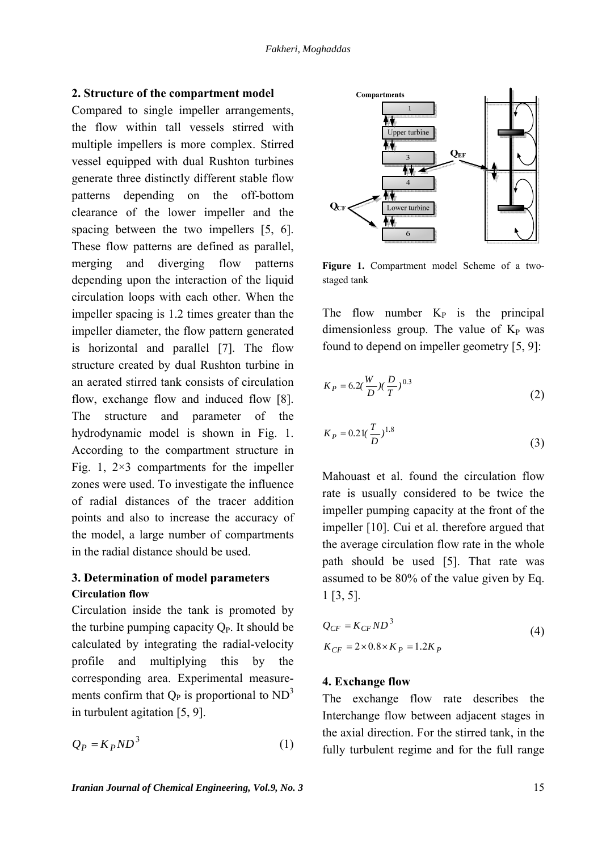### **2. Structure of the compartment model**

Compared to single impeller arrangements, the flow within tall vessels stirred with multiple impellers is more complex. Stirred vessel equipped with dual Rushton turbines generate three distinctly different stable flow patterns depending on the off-bottom clearance of the lower impeller and the spacing between the two impellers [5, 6]. These flow patterns are defined as parallel, merging and diverging flow patterns depending upon the interaction of the liquid circulation loops with each other. When the impeller spacing is 1.2 times greater than the impeller diameter, the flow pattern generated is horizontal and parallel [7]. The flow structure created by dual Rushton turbine in an aerated stirred tank consists of circulation flow, exchange flow and induced flow [8]. The structure and parameter of the hydrodynamic model is shown in Fig. 1. According to the compartment structure in Fig. 1,  $2\times3$  compartments for the impeller zones were used. To investigate the influence of radial distances of the tracer addition points and also to increase the accuracy of the model, a large number of compartments in the radial distance should be used.

# **3. Determination of model parameters Circulation flow**

Circulation inside the tank is promoted by the turbine pumping capacity  $Q_P$ . It should be calculated by integrating the radial-velocity profile and multiplying this by the corresponding area. Experimental measurements confirm that  $Q_P$  is proportional to  $ND<sup>3</sup>$ in turbulent agitation [5, 9].

$$
Q_P = K_P N D^3 \tag{1}
$$



**Figure 1.** Compartment model Scheme of a twostaged tank

The flow number  $K_P$  is the principal dimensionless group. The value of  $K_P$  was found to depend on impeller geometry [5, 9]:

$$
K_P = 6.2\left(\frac{W}{D}\right)\left(\frac{D}{T}\right)^{0.3} \tag{2}
$$

$$
K_P = 0.21 \left(\frac{T}{D}\right)^{1.8} \tag{3}
$$

Mahouast et al. found the circulation flow rate is usually considered to be twice the impeller pumping capacity at the front of the impeller [10]. Cui et al. therefore argued that the average circulation flow rate in the whole path should be used [5]. That rate was assumed to be 80% of the value given by Eq. 1 [3, 5].

$$
Q_{CF} = K_{CF}ND^3
$$
  
\n
$$
K_{CF} = 2 \times 0.8 \times K_P = 1.2K_P
$$
\n(4)

### **4. Exchange flow**

The exchange flow rate describes the Interchange flow between adjacent stages in the axial direction. For the stirred tank, in the fully turbulent regime and for the full range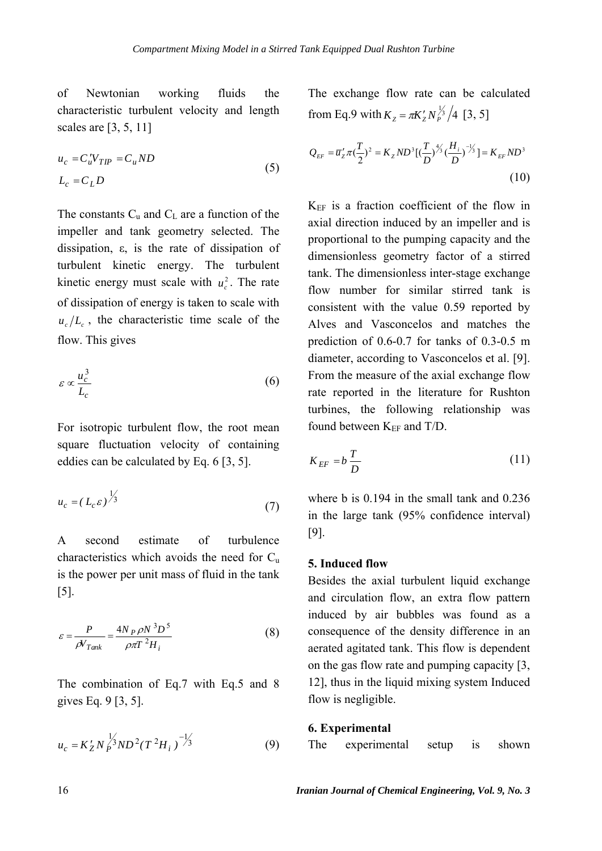of Newtonian working fluids the characteristic turbulent velocity and length scales are [3, 5, 11]

$$
u_c = C_u' V_{TIP} = C_u ND
$$
  

$$
L_c = C_L D
$$
 (5)

The constants  $C_u$  and  $C_L$  are a function of the impeller and tank geometry selected. The dissipation, ε, is the rate of dissipation of turbulent kinetic energy. The turbulent kinetic energy must scale with  $u_c^2$ . The rate of dissipation of energy is taken to scale with  $u_c/L_c$ , the characteristic time scale of the flow. This gives

$$
\varepsilon \propto \frac{u_c^3}{L_c} \tag{6}
$$

For isotropic turbulent flow, the root mean square fluctuation velocity of containing eddies can be calculated by Eq. 6 [3, 5].

$$
u_c = (L_c \varepsilon)^{\frac{1}{3}} \tag{7}
$$

A second estimate of turbulence characteristics which avoids the need for  $C_u$ is the power per unit mass of fluid in the tank [5].

$$
\varepsilon = \frac{P}{\rho V_{Tank}} = \frac{4N_P \rho N^3 D^5}{\rho \pi T^2 H_i}
$$
(8)

The combination of Eq.7 with Eq.5 and 8 gives Eq. 9 [3, 5].

$$
u_c = K_Z' N_P^{\frac{1}{3}} N D^2 (T^2 H_i)^{-\frac{1}{3}} \tag{9}
$$

The exchange flow rate can be calculated from Eq.9 with  $K_z = \pi K'_z N_P^{\frac{1}{3}}/4$  [3, 5]

$$
Q_{EF} = \overline{u}'_z \pi \left(\frac{T}{2}\right)^2 = K_z N D^3 \left[ \left(\frac{T}{D}\right)^{\frac{4}{3}} \left(\frac{H_i}{D}\right)^{-\frac{1}{3}} \right] = K_{EF} N D^3
$$
\n(10)

 $K_{EF}$  is a fraction coefficient of the flow in axial direction induced by an impeller and is proportional to the pumping capacity and the dimensionless geometry factor of a stirred tank. The dimensionless inter-stage exchange flow number for similar stirred tank is consistent with the value 0.59 reported by Alves and Vasconcelos and matches the prediction of 0.6-0.7 for tanks of 0.3-0.5 m diameter, according to Vasconcelos et al. [9]. From the measure of the axial exchange flow rate reported in the literature for Rushton turbines, the following relationship was found between  $K_{EF}$  and  $T/D$ .

$$
K_{EF} = b \frac{T}{D} \tag{11}
$$

where b is 0.194 in the small tank and 0.236 in the large tank (95% confidence interval) [9].

## **5. Induced flow**

Besides the axial turbulent liquid exchange and circulation flow, an extra flow pattern induced by air bubbles was found as a consequence of the density difference in an aerated agitated tank. This flow is dependent on the gas flow rate and pumping capacity [3, 12], thus in the liquid mixing system Induced flow is negligible.

#### **6. Experimental**

The experimental setup is shown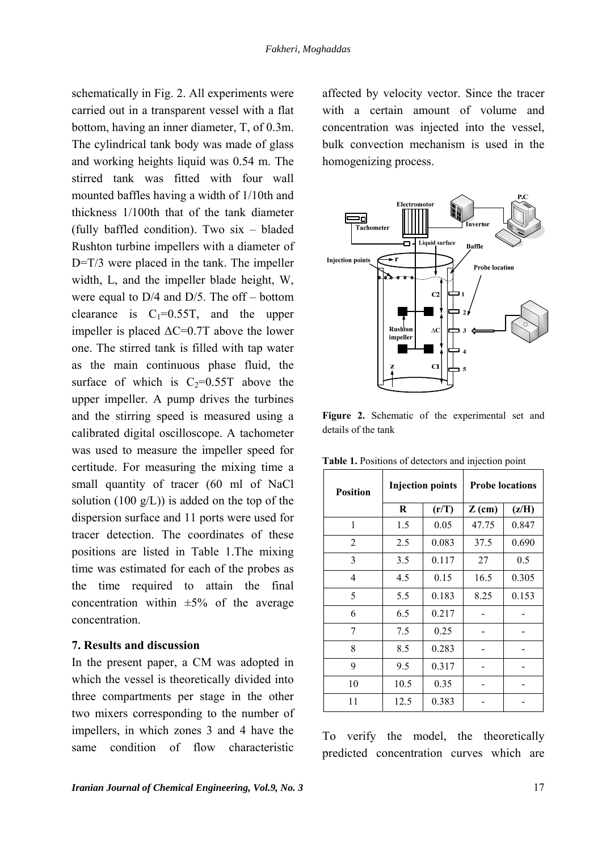$\mathsf{L}$ 

schematically in Fig. 2. All experiments were carried out in a transparent vessel with a flat bottom, having an inner diameter, T, of 0.3m. The cylindrical tank body was made of glass and working heights liquid was 0.54 m. The stirred tank was fitted with four wall mounted baffles having a width of 1/10th and thickness 1/100th that of the tank diameter (fully baffled condition). Two six – bladed Rushton turbine impellers with a diameter of D=T/3 were placed in the tank. The impeller width, L, and the impeller blade height, W, were equal to D/4 and D/5. The off – bottom clearance is  $C_1=0.55T$ , and the upper impeller is placed  $\Delta$ C=0.7T above the lower one. The stirred tank is filled with tap water as the main continuous phase fluid, the surface of which is  $C_2=0.55T$  above the upper impeller. A pump drives the turbines and the stirring speed is measured using a calibrated digital oscilloscope. A tachometer was used to measure the impeller speed for certitude. For measuring the mixing time a small quantity of tracer (60 ml of NaCl solution (100  $g/L$ )) is added on the top of the dispersion surface and 11 ports were used for tracer detection. The coordinates of these positions are listed in Table 1.The mixing time was estimated for each of the probes as the time required to attain the final concentration within  $\pm 5\%$  of the average concentration.

#### **7. Results and discussion**

In the present paper, a CM was adopted in which the vessel is theoretically divided into three compartments per stage in the other two mixers corresponding to the number of impellers, in which zones 3 and 4 have the same condition of flow characteristic

affected by velocity vector. Since the tracer with a certain amount of volume and concentration was injected into the vessel, bulk convection mechanism is used in the homogenizing process.



**Figure 2.** Schematic of the experimental set and details of the tank

| <b>Position</b> | <b>Injection points</b> |       | <b>Probe locations</b> |       |
|-----------------|-------------------------|-------|------------------------|-------|
|                 | R                       | (r/T) | $Z$ (cm)               | (z/H) |
| 1               | 1.5                     | 0.05  | 47.75                  | 0.847 |
| $\overline{2}$  | 2.5                     | 0.083 | 37.5                   | 0.690 |
| 3               | 3.5                     | 0.117 | 27                     | 0.5   |
| $\overline{4}$  | 4.5                     | 0.15  | 16.5                   | 0.305 |
| 5               | 5.5                     | 0.183 | 8.25                   | 0.153 |
| 6               | 6.5                     | 0.217 |                        |       |
| 7               | 7.5                     | 0.25  |                        |       |
| 8               | 8.5                     | 0.283 |                        |       |
| 9               | 9.5                     | 0.317 |                        |       |
| 10              | 10.5                    | 0.35  |                        |       |
| 11              | 12.5                    | 0.383 |                        |       |

**Table 1.** Positions of detectors and injection point

To verify the model, the theoretically predicted concentration curves which are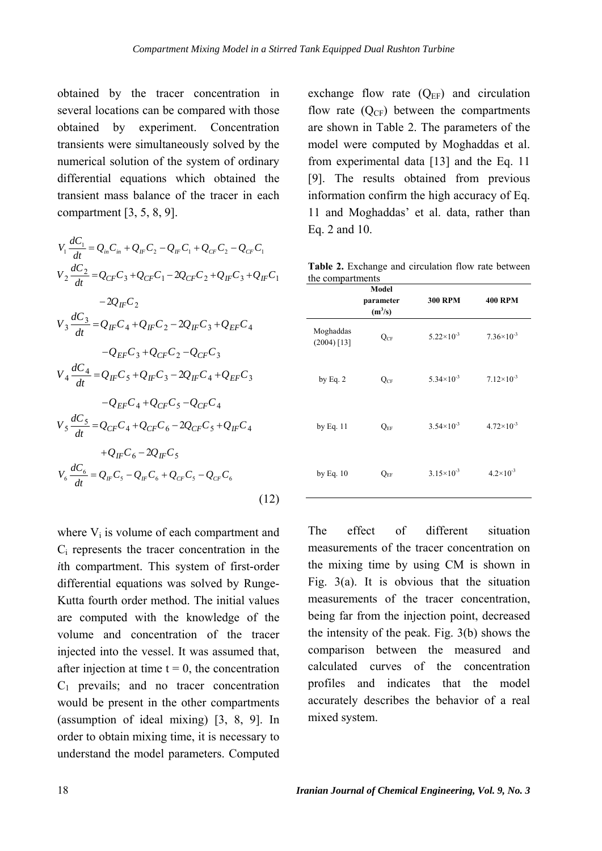obtained by the tracer concentration in several locations can be compared with those obtained by experiment. Concentration transients were simultaneously solved by the numerical solution of the system of ordinary differential equations which obtained the transient mass balance of the tracer in each compartment [3, 5, 8, 9].

$$
V_{1} \frac{dC_{1}}{dt} = Q_{in}C_{in} + Q_{IF}C_{2} - Q_{IF}C_{1} + Q_{CF}C_{2} - Q_{CF}C_{1}
$$
  
\n
$$
V_{2} \frac{dC_{2}}{dt} = Q_{CF}C_{3} + Q_{CF}C_{1} - 2Q_{CF}C_{2} + Q_{IF}C_{3} + Q_{IF}C_{1}
$$
  
\n
$$
-2Q_{IF}C_{2}
$$
  
\n
$$
V_{3} \frac{dC_{3}}{dt} = Q_{IF}C_{4} + Q_{IF}C_{2} - 2Q_{IF}C_{3} + Q_{EF}C_{4}
$$
  
\n
$$
-Q_{EF}C_{3} + Q_{CF}C_{2} - Q_{CF}C_{3}
$$
  
\n
$$
V_{4} \frac{dC_{4}}{dt} = Q_{IF}C_{5} + Q_{IF}C_{3} - 2Q_{IF}C_{4} + Q_{EF}C_{3}
$$
  
\n
$$
-Q_{EF}C_{4} + Q_{CF}C_{5} - Q_{CF}C_{4}
$$
  
\n
$$
V_{5} \frac{dC_{5}}{dt} = Q_{CF}C_{4} + Q_{CF}C_{6} - 2Q_{CF}C_{5} + Q_{IF}C_{4}
$$
  
\n
$$
+ Q_{IF}C_{6} - 2Q_{IF}C_{5}
$$
  
\n
$$
V_{6} \frac{dC_{6}}{dt} = Q_{IF}C_{5} - Q_{IF}C_{6} + Q_{CF}C_{5} - Q_{CF}C_{6}
$$
  
\n(12)

where  $V_i$  is volume of each compartment and Ci represents the tracer concentration in the *i*th compartment. This system of first-order differential equations was solved by Runge-Kutta fourth order method. The initial values are computed with the knowledge of the volume and concentration of the tracer injected into the vessel. It was assumed that, after injection at time  $t = 0$ , the concentration C1 prevails; and no tracer concentration would be present in the other compartments (assumption of ideal mixing) [3, 8, 9]. In order to obtain mixing time, it is necessary to understand the model parameters. Computed

exchange flow rate  $(Q_{EF})$  and circulation flow rate  $(Q_{CF})$  between the compartments are shown in Table 2. The parameters of the model were computed by Moghaddas et al. from experimental data [13] and the Eq. 11 [9]. The results obtained from previous information confirm the high accuracy of Eq. 11 and Moghaddas' et al. data, rather than Eq. 2 and 10.

**Table 2.** Exchange and circulation flow rate between the compartments

|                            | Model<br>parameter<br>$(m^3/s)$ | <b>300 RPM</b>        | <b>400 RPM</b>       |
|----------------------------|---------------------------------|-----------------------|----------------------|
| Moghaddas<br>$(2004)$ [13] | $Q_{CF}$                        | $5.22\times10^{-3}$   | $7.36\times10^{-3}$  |
| by Eq. $2$                 | $Q_{CF}$                        | $5.34\times10^{-3}$   | $7.12\times10^{-3}$  |
| by Eq. 11                  | $Q_{EF}$                        | $3.54\times10^{-3}$   | $4.72\times10^{-3}$  |
| by Eq. 10                  | $Q_{EF}$                        | $3.15 \times 10^{-3}$ | $4.2 \times 10^{-3}$ |

The effect of different situation measurements of the tracer concentration on the mixing time by using CM is shown in Fig. 3(a). It is obvious that the situation measurements of the tracer concentration, being far from the injection point, decreased the intensity of the peak. Fig. 3(b) shows the comparison between the measured and calculated curves of the concentration profiles and indicates that the model accurately describes the behavior of a real mixed system.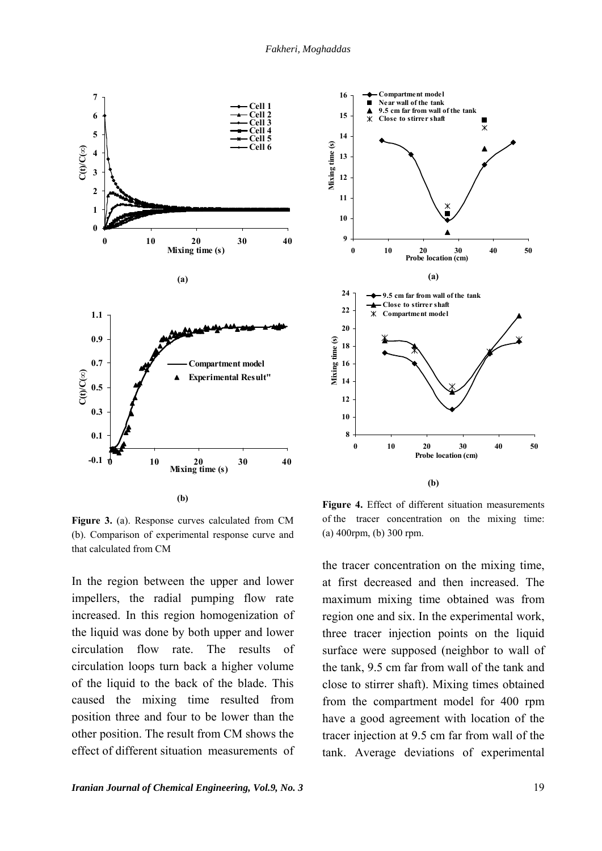



**Figure 3.** (a). Response curves calculated from CM (b). Comparison of experimental response curve and that calculated from CM

In the region between the upper and lower impellers, the radial pumping flow rate increased. In this region homogenization of the liquid was done by both upper and lower circulation flow rate. The results of circulation loops turn back a higher volume of the liquid to the back of the blade. This caused the mixing time resulted from position three and four to be lower than the other position. The result from CM shows the effect of different situation measurements of

**Figure 4.** Effect of different situation measurements of the tracer concentration on the mixing time: (a) 400rpm, (b) 300 rpm.

the tracer concentration on the mixing time, at first decreased and then increased. The maximum mixing time obtained was from region one and six. In the experimental work, three tracer injection points on the liquid surface were supposed (neighbor to wall of the tank, 9.5 cm far from wall of the tank and close to stirrer shaft). Mixing times obtained from the compartment model for 400 rpm have a good agreement with location of the tracer injection at 9.5 cm far from wall of the tank. Average deviations of experimental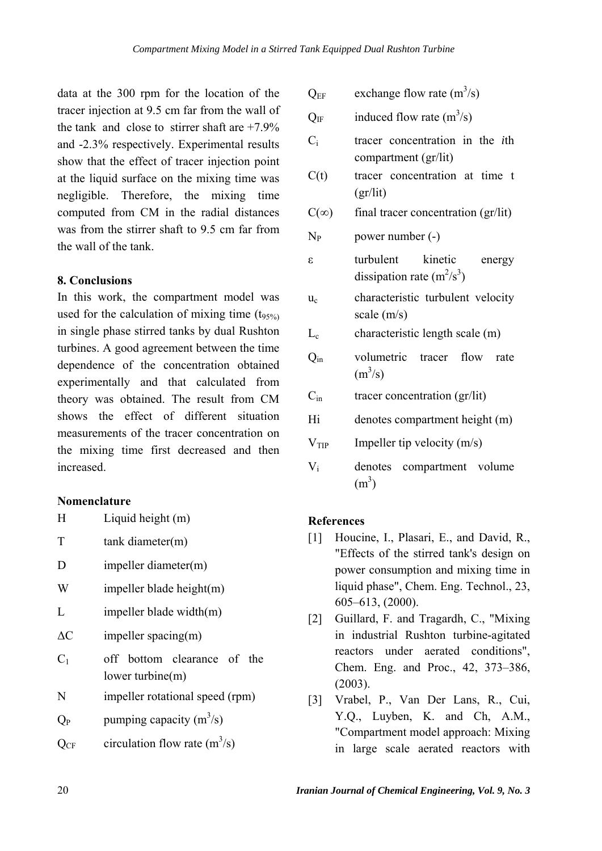data at the 300 rpm for the location of the tracer injection at 9.5 cm far from the wall of the tank and close to stirrer shaft are  $+7.9\%$ and -2.3% respectively. Experimental results show that the effect of tracer injection point at the liquid surface on the mixing time was negligible. Therefore, the mixing time computed from CM in the radial distances was from the stirrer shaft to 9.5 cm far from the wall of the tank.

# **8. Conclusions**

In this work, the compartment model was used for the calculation of mixing time  $(t_{95\%})$ in single phase stirred tanks by dual Rushton turbines. A good agreement between the time dependence of the concentration obtained experimentally and that calculated from theory was obtained. The result from CM shows the effect of different situation measurements of the tracer concentration on the mixing time first decreased and then increased.

#### **Nomenclature**

H Liquid height (m)

- T tank diameter(m)
- D impeller diameter(m)
- W impeller blade height(m)
- L impeller blade width(m)
- $\Delta C$  impeller spacing(m)
- off bottom clearance of the lower turbine(m)  $C<sub>1</sub>$
- N impeller rotational speed (rpm)
- $Q_P$  bumping capacity  $(m^3/s)$
- $Q_{CF}$  circulation flow rate  $(m^3/s)$

 $Q_{EF}$  exchange flow rate  $(m^3/s)$ 

 $Q_{IF}$  induced flow rate  $(m<sup>3</sup>/s)$ 

- tracer concentration in the *i*th compartment (gr/lit)  $C_i$
- tracer concentration at time t (gr/lit)  $C(t)$
- $C(\infty)$  final tracer concentration (gr/lit)

 $N_P$  power number  $(-)$ 

turbulent kinetic energy dissipation rate (m2 /s3 ) ε

characteristic turbulent velocity scale (m/s)  $u_c$ 

 $L_c$  characteristic length scale  $(m)$ 

- volumetric tracer flow rate  $(m^3/s)$  $Q_{in}$
- $C_{in}$  tracer concentration (gr/lit)
- Hi denotes compartment height (m)
- $V_{TIP}$  Impeller tip velocity (m/s)
- denotes compartment volume  $(m<sup>3</sup>)$  $V_i$

# **References**

- [1] Houcine, I., Plasari, E., and David, R., "Effects of the stirred tank's design on power consumption and mixing time in liquid phase", Chem. Eng. Technol., 23, 605–613, (2000).
- [2] Guillard, F. and Tragardh, C., "Mixing in industrial Rushton turbine-agitated reactors under aerated conditions", Chem. Eng. and Proc., 42, 373–386, (2003).
- [3] Vrabel, P., Van Der Lans, R., Cui, Y.Q., Luyben, K. and Ch, A.M., "Compartment model approach: Mixing in large scale aerated reactors with